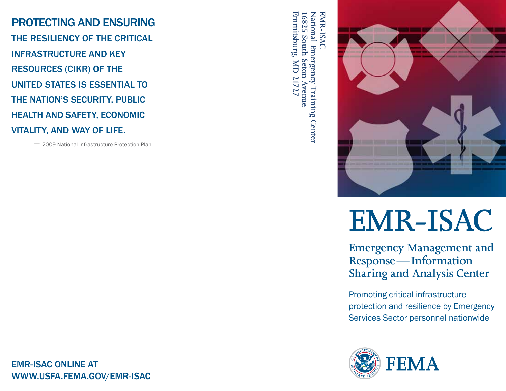PROTECTING AND ENSURING THE RESILIENCY OF THE CRITICAL INFRASTRUCTURE AND KEY RESOURCES (CIKR) OF THE UNITED STATES IS ESSENTIAL TO THE NATION'S SECURITY, PUBLIC HEALTH AND SAFETY, ECONOMIC VITALITY, AND WAY OF LIFE.

– 2009 National Infrastructure Protection Plan

Emmitsburg, MD 21727 **Emmitsburg, MD 21727** 16825 South Seton Avenue National Emergency Training Center **National Emergency Training Center** EMR-ISAC **EMR-ISAC 16825 South Seton Avenue**



# **EMR-ISAC**

**Emergency Management and Response—Information Sharing and Analysis Center**

Promoting critical infrastructure protection and resilience by Emergency Services Sector personnel nationwide



EMR-ISAC ONLINE AT www.usfa.FEMA.gov/emr-isac